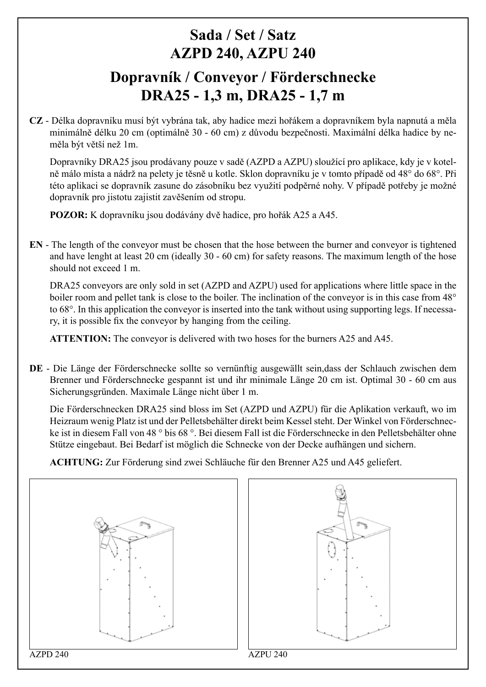## **Sada / Set / Satz AZPD 240, AZPU 240 Dopravník / Conveyor / Förderschnecke DRA25 - 1,3 m, DRA25 - 1,7 m**

**CZ** - Délka dopravníku musí být vybrána tak, aby hadice mezi hořákem a dopravníkem byla napnutá a měla minimálně délku 20 cm (optimálně 30 - 60 cm) z důvodu bezpečnosti. Maximální délka hadice by neměla být větší než 1m.

Dopravníky DRA25 jsou prodávany pouze v sadě (AZPD a AZPU) sloužící pro aplikace, kdy je v kotelně málo místa a nádrž na pelety je těsně u kotle. Sklon dopravníku je v tomto případě od 48° do 68°. Při této aplikaci se dopravník zasune do zásobníku bez využití podpěrné nohy. V případě potřeby je možné dopravník pro jistotu zajistit zavěšením od stropu.

**POZOR:** K dopravníku jsou dodávány dvě hadice, pro hořák A25 a A45.

**EN** - The length of the conveyor must be chosen that the hose between the burner and conveyor is tightened and have lenght at least 20 cm (ideally 30 - 60 cm) for safety reasons. The maximum length of the hose should not exceed 1 m.

DRA25 conveyors are only sold in set (AZPD and AZPU) used for applications where little space in the boiler room and pellet tank is close to the boiler. The inclination of the conveyor is in this case from 48° to 68°. In this application the conveyor is inserted into the tank without using supporting legs. If necessary, it is possible fix the conveyor by hanging from the ceiling.

**ATTENTION:** The conveyor is delivered with two hoses for the burners A25 and A45.

**DE** - Die Länge der Förderschnecke sollte so vernünftig ausgewällt sein,dass der Schlauch zwischen dem Brenner und Förderschnecke gespannt ist und ihr minimale Länge 20 cm ist. Optimal 30 - 60 cm aus Sicherungsgründen. Maximale Länge nicht über 1 m.

Die Förderschnecken DRA25 sind bloss im Set (AZPD und AZPU) für die Aplikation verkauft, wo im Heizraum wenig Platz ist und der Pelletsbehälter direkt beim Kessel steht. Der Winkel von Förderschnecke ist in diesem Fall von 48 ° bis 68 °. Bei diesem Fall ist die Förderschnecke in den Pelletsbehälter ohne Stütze eingebaut. Bei Bedarf ist möglich die Schnecke von der Decke aufhängen und sichern.

**ACHTUNG:** Zur Förderung sind zwei Schläuche für den Brenner A25 und A45 geliefert.



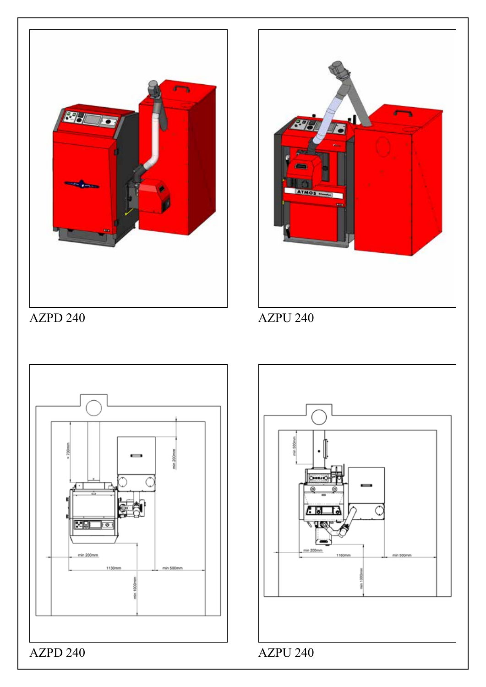



AZPD 240 AZPU 240



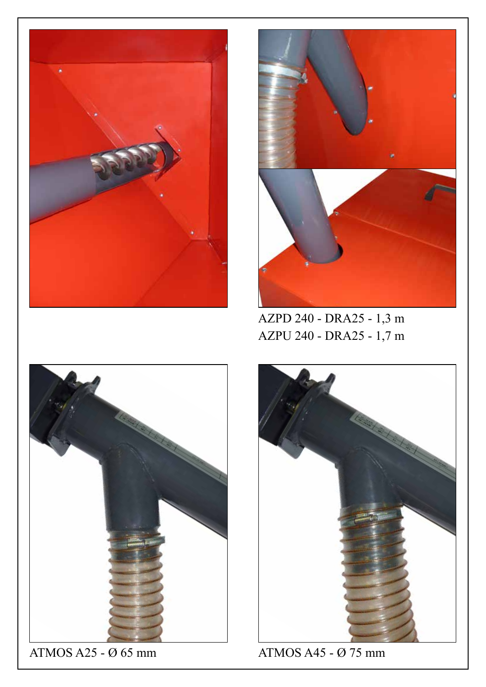



AZPD 240 - DRA25 - 1,3 m AZPU 240 - DRA25 - 1,7 m



ATMOS A25 - Ø 65 mm ATMOS A45 - Ø 75 mm